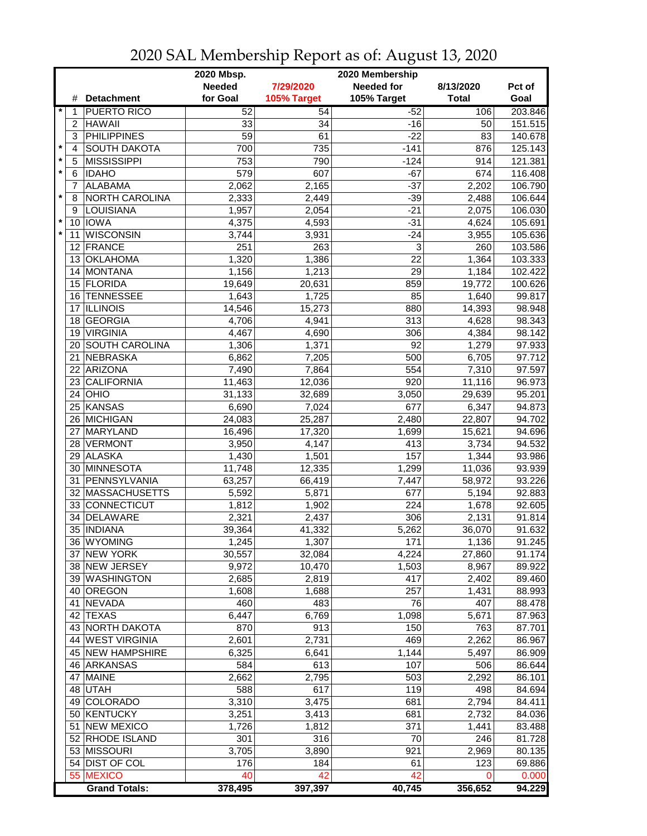|         |                |                       | 2020 Mbsp.<br>2020 Membership |             |                   |              |         |  |
|---------|----------------|-----------------------|-------------------------------|-------------|-------------------|--------------|---------|--|
|         |                |                       | <b>Needed</b>                 | 7/29/2020   | <b>Needed for</b> | 8/13/2020    | Pct of  |  |
|         | #              | <b>Detachment</b>     | for Goal                      | 105% Target | 105% Target       | <b>Total</b> | Goal    |  |
|         | 1              | <b>PUERTO RICO</b>    | 52                            | 54          | $-52$             | 106          | 203.846 |  |
|         | $\overline{c}$ | <b>HAWAII</b>         | 33                            | 34          | $-16$             | 50           | 151.515 |  |
|         | 3              | <b>PHILIPPINES</b>    | $\overline{59}$               | 61          | $-22$             | 83           | 140.678 |  |
| $\star$ | 4              | <b>SOUTH DAKOTA</b>   | 700                           | 735         | $-141$            | 876          | 125.143 |  |
| $\star$ | 5              | <b>MISSISSIPPI</b>    | 753                           | 790         | $-124$            | 914          | 121.381 |  |
| $\star$ | 6              | <b>IDAHO</b>          | 579                           | 607         | $-67$             | 674          | 116.408 |  |
|         | 7              | <b>ALABAMA</b>        | 2,062                         | 2,165       | $-37$             | 2,202        | 106.790 |  |
| $\star$ | 8              | NORTH CAROLINA        | 2,333                         | 2,449       | $-39$             | 2,488        | 106.644 |  |
|         | 9              | LOUISIANA             | 1,957                         | 2,054       | $-21$             | 2,075        | 106.030 |  |
| $\star$ | 10             | <b>IOWA</b>           | 4,375                         | 4,593       | $-31$             | 4,624        | 105.691 |  |
| $\star$ | 11             | <b>WISCONSIN</b>      | 3,744                         | 3,931       | $-24$             | 3,955        | 105.636 |  |
|         | 12             | FRANCE                | 251                           | 263         | 3                 | 260          | 103.586 |  |
|         | 13             | <b>OKLAHOMA</b>       | 1,320                         | 1,386       | 22                | 1,364        | 103.333 |  |
|         | 14             | <b>MONTANA</b>        | 1,156                         | 1,213       | 29                | 1,184        | 102.422 |  |
|         |                | 15 FLORIDA            | 19,649                        | 20,631      | 859               | 19,772       | 100.626 |  |
|         | 16             | <b>TENNESSEE</b>      | 1,643                         | 1,725       | 85                | 1,640        | 99.817  |  |
|         | 17             | <b>ILLINOIS</b>       | 14,546                        | 15,273      | 880               | 14,393       | 98.948  |  |
|         | 18             | <b>GEORGIA</b>        | 4,706                         | 4,941       | 313               | 4,628        | 98.343  |  |
|         | 19             | <b>VIRGINIA</b>       | 4,467                         |             | 306               |              | 98.142  |  |
|         |                | <b>SOUTH CAROLINA</b> |                               | 4,690       | 92                | 4,384        |         |  |
|         | 20<br>21       |                       | 1,306<br>6,862                | 1,371       | 500               | 1,279        | 97.933  |  |
|         | 22             | NEBRASKA<br>ARIZONA   |                               | 7,205       | 554               | 6,705        | 97.712  |  |
|         |                | 23 CALIFORNIA         | 7,490                         | 7,864       | $\overline{920}$  | 7,310        | 97.597  |  |
|         |                |                       | 11,463                        | 12,036      |                   | 11,116       | 96.973  |  |
|         |                | $24$ OHIO             | 31,133                        | 32,689      | 3,050             | 29,639       | 95.201  |  |
|         |                | 25 KANSAS             | 6,690                         | 7,024       | 677               | 6,347        | 94.873  |  |
|         |                | 26 MICHIGAN           | 24,083                        | 25,287      | 2,480             | 22,807       | 94.702  |  |
|         | 27             | MARYLAND              | 16,496                        | 17,320      | 1,699             | 15,621       | 94.696  |  |
|         |                | 28 VERMONT            | 3,950                         | 4,147       | 413               | 3,734        | 94.532  |  |
|         |                | 29 ALASKA             | 1,430                         | 1,501       | 157               | 1,344        | 93.986  |  |
|         | 30             | MINNESOTA             | 11,748                        | 12,335      | 1,299             | 11,036       | 93.939  |  |
|         | 31             | PENNSYLVANIA          | 63,257                        | 66,419      | 7,447             | 58,972       | 93.226  |  |
|         |                | 32 MASSACHUSETTS      | 5,592                         | 5,871       | 677               | 5,194        | 92.883  |  |
|         |                | 33 CONNECTICUT        | 1,812                         | 1,902       | 224               | 1,678        | 92.605  |  |
|         | 34             | <b>DELAWARE</b>       | 2,321                         | 2,437       | 306               | 2,131        | 91.814  |  |
|         |                | 35   INDIANA          | 39,364                        | 41,332      | 5,262             | 36,070       | 91.632  |  |
|         |                | 36   WYOMING          | 1,245                         | 1,307       | 171               | 1,136        | 91.245  |  |
|         |                | 37 NEW YORK           | 30,557                        | 32,084      | 4,224             | 27,860       | 91.174  |  |
|         |                | 38 NEW JERSEY         | 9,972                         | 10,470      | 1,503             | 8,967        | 89.922  |  |
|         |                | 39 WASHINGTON         | 2,685                         | 2,819       | 417               | 2,402        | 89.460  |  |
|         |                | 40 OREGON             | 1,608                         | 1,688       | 257               | 1,431        | 88.993  |  |
|         |                | 41 NEVADA             | 460                           | 483         | 76                | 407          | 88.478  |  |
|         |                | 42 TEXAS              | 6,447                         | 6,769       | 1,098             | 5,671        | 87.963  |  |
|         |                | 43 NORTH DAKOTA       | 870                           | 913         | 150               | 763          | 87.701  |  |
|         |                | 44 WEST VIRGINIA      | 2,601                         | 2,731       | 469               | 2,262        | 86.967  |  |
|         |                | 45 NEW HAMPSHIRE      | 6,325                         | 6,641       | 1,144             | 5,497        | 86.909  |  |
|         |                | 46 ARKANSAS           | 584                           | 613         | 107               | 506          | 86.644  |  |
|         | 47             | <b>MAINE</b>          | 2,662                         | 2,795       | 503               | 2,292        | 86.101  |  |
|         |                | 48 UTAH               | 588                           | 617         | 119               | 498          | 84.694  |  |
|         |                | 49 COLORADO           | 3,310                         | 3,475       | 681               | 2,794        | 84.411  |  |
|         |                | 50 KENTUCKY           | 3,251                         | 3,413       | 681               | 2,732        | 84.036  |  |
|         |                | 51 NEW MEXICO         | 1,726                         | 1,812       | 371               | 1,441        | 83.488  |  |
|         |                | 52 RHODE ISLAND       | 301                           | 316         | 70                | 246          | 81.728  |  |
|         |                | 53 MISSOURI           | 3,705                         | 3,890       | 921               | 2,969        | 80.135  |  |
|         |                | 54 DIST OF COL        | 176                           | 184         | 61                | 123          | 69.886  |  |
|         |                | 55 MEXICO             | 40                            | 42          | 42                | 0            | 0.000   |  |
|         |                | <b>Grand Totals:</b>  | 378,495                       | 397,397     | 40,745            | 356,652      | 94.229  |  |

2020 SAL Membership Report as of: August 13, 2020